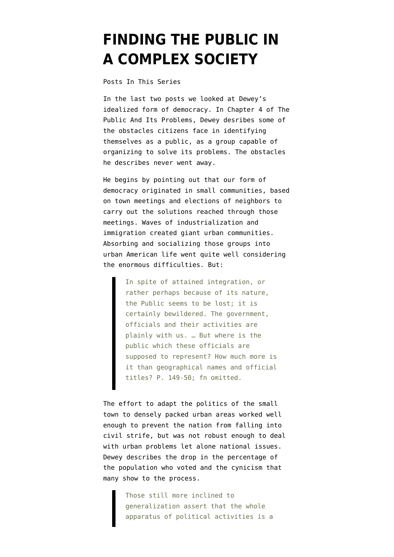## **[FINDING THE PUBLIC IN](https://www.emptywheel.net/2021/03/14/finding-the-public-in-a-complex-society/) [A COMPLEX SOCIETY](https://www.emptywheel.net/2021/03/14/finding-the-public-in-a-complex-society/)**

[Posts In This Series](https://www.emptywheel.net/2020/12/15/index-and-one-last-introduction-to-the-public-and-its-problems-by-john-dewey/)

In the last two posts we looked at Dewey's idealized form of democracy. In Chapter 4 of The Public And Its Problems, Dewey desribes some of the obstacles citizens face in identifying themselves as a public, as a group capable of organizing to solve its problems. The obstacles he describes never went away.

He begins by pointing out that our form of democracy originated in small communities, based on town meetings and elections of neighbors to carry out the solutions reached through those meetings. Waves of industrialization and immigration created giant urban communities. Absorbing and socializing those groups into urban American life went quite well considering the enormous difficulties. But:

> In spite of attained integration, or rather perhaps because of its nature, the Public seems to be lost; it is certainly bewildered. The government, officials and their activities are plainly with us. … But where is the public which these officials are supposed to represent? How much more is it than geographical names and official titles? P. 149-50; fn omitted.

The effort to adapt the politics of the small town to densely packed urban areas worked well enough to prevent the nation from falling into civil strife, but was not robust enough to deal with urban problems let alone national issues. Dewey describes the drop in the percentage of the population who voted and the cynicism that many show to the process.

> Those still more inclined to generalization assert that the whole apparatus of political activities is a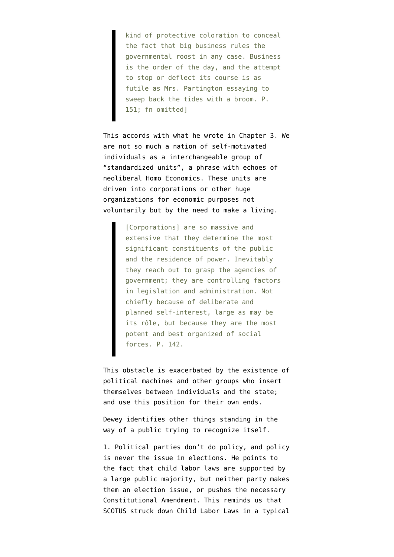kind of protective coloration to conceal the fact that big business rules the governmental roost in any case. Business is the order of the day, and the attempt to stop or deflect its course is as futile as Mrs. Partington essaying to sweep back the tides with a broom. P. 151; fn omitted]

This accords with what he wrote in Chapter 3. We are not so much a nation of self-motivated individuals as a interchangeable group of "standardized units", a phrase with echoes of neoliberal Homo Economics. These units are driven into corporations or other huge organizations for economic purposes not voluntarily but by the need to make a living.

> [Corporations] are so massive and extensive that they determine the most significant constituents of the public and the residence of power. Inevitably they reach out to grasp the agencies of government; they are controlling factors in legislation and administration. Not chiefly because of deliberate and planned self-interest, large as may be its rôle, but because they are the most potent and best organized of social forces. P. 142.

This obstacle is exacerbated by the existence of political machines and other groups who insert themselves between individuals and the state; and use this position for their own ends.

Dewey identifies other things standing in the way of a public trying to recognize itself.

1. Political parties don't do policy, and policy is never the issue in elections. He points to the fact that child labor laws are supported by a large public majority, but neither party makes them an election issue, or pushes the necessary Constitutional Amendment. This reminds us that [SCOTUS struck down](https://en.wikipedia.org/wiki/Child_labor_laws_in_the_United_States#Activism_against_child_labor) Child Labor Laws in a typical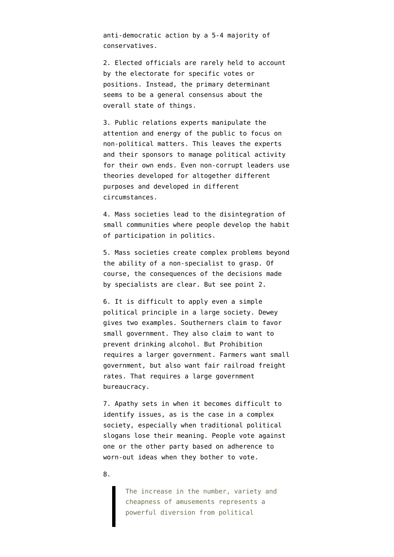anti-democratic action by a 5-4 majority of conservatives.

2. Elected officials are rarely held to account by the electorate for specific votes or positions. Instead, the primary determinant seems to be a general consensus about the overall state of things.

3. Public relations experts manipulate the attention and energy of the public to focus on non-political matters. This leaves the experts and their sponsors to manage political activity for their own ends. Even non-corrupt leaders use theories developed for altogether different purposes and developed in different circumstances.

4. Mass societies lead to the disintegration of small communities where people develop the habit of participation in politics.

5. Mass societies create complex problems beyond the ability of a non-specialist to grasp. Of course, the consequences of the decisions made by specialists are clear. But see point 2.

6. It is difficult to apply even a simple political principle in a large society. Dewey gives two examples. Southerners claim to favor small government. They also claim to want to prevent drinking alcohol. But Prohibition requires a larger government. Farmers want small government, but also want fair railroad freight rates. That requires a large government bureaucracy.

7. Apathy sets in when it becomes difficult to identify issues, as is the case in a complex society, especially when traditional political slogans lose their meaning. People vote against one or the other party based on adherence to worn-out ideas when they bother to vote.

8.

The increase in the number, variety and cheapness of amusements represents a powerful diversion from political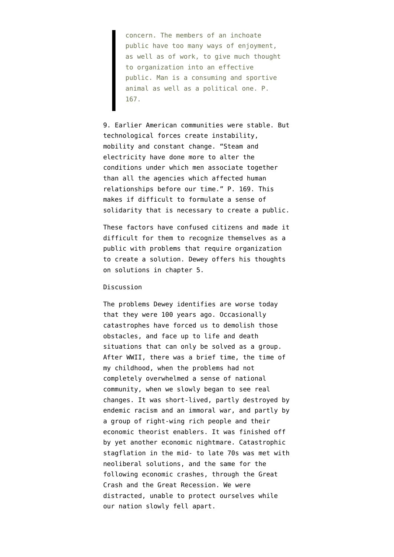concern. The members of an inchoate public have too many ways of enjoyment, as well as of work, to give much thought to organization into an effective public. Man is a consuming and sportive animal as well as a political one. P. 167.

9. Earlier American communities were stable. But technological forces create instability, mobility and constant change. "Steam and electricity have done more to alter the conditions under which men associate together than all the agencies which affected human relationships before our time." P. 169. This makes if difficult to formulate a sense of solidarity that is necessary to create a public.

These factors have confused citizens and made it difficult for them to recognize themselves as a public with problems that require organization to create a solution. Dewey offers his thoughts on solutions in chapter 5.

## Discussion

The problems Dewey identifies are worse today that they were 100 years ago. Occasionally catastrophes have forced us to demolish those obstacles, and face up to life and death situations that can only be solved as a group. After WWII, there was a brief time, the time of my childhood, when the problems had not completely overwhelmed a sense of national community, when we slowly began to see real changes. It was short-lived, partly destroyed by endemic racism and an immoral war, and partly by a group of right-wing rich people and their economic theorist enablers. It was finished off by yet another economic nightmare. Catastrophic stagflation in the mid- to late 70s was met with neoliberal solutions, and the same for the following economic crashes, through the Great Crash and the Great Recession. We were distracted, unable to protect ourselves while our nation slowly fell apart.